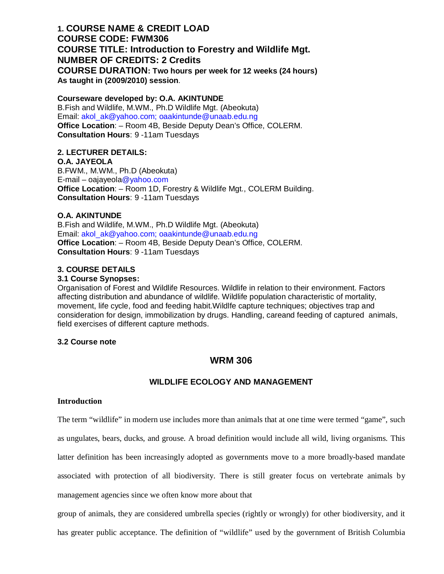# **1. COURSE NAME & CREDIT LOAD COURSE CODE: FWM306 COURSE TITLE: Introduction to Forestry and Wildlife Mgt. NUMBER OF CREDITS: 2 Credits COURSE DURATION: Two hours per week for 12 weeks (24 hours) As taught in (2009/2010) session**.

## **Courseware developed by: O.A. AKINTUNDE**

B.Fish and Wildlife, M.WM., Ph.D Wildlife Mgt. (Abeokuta) Email: akol\_ak@yahoo.com; oaakintunde@unaab.edu.ng **Office Location**: – Room 4B, Beside Deputy Dean's Office, COLERM. **Consultation Hours**: 9 -11am Tuesdays

# **2. LECTURER DETAILS:**

**O.A. JAYEOLA** B.FWM., M.WM., Ph.D (Abeokuta) E-mail – oajayeola@yahoo.com **Office Location**: – Room 1D, Forestry & Wildlife Mgt., COLERM Building. **Consultation Hours**: 9 -11am Tuesdays

# **O.A. AKINTUNDE**

B.Fish and Wildlife, M.WM., Ph.D Wildlife Mgt. (Abeokuta) Email: akol\_ak@yahoo.com; oaakintunde@unaab.edu.ng **Office Location**: – Room 4B, Beside Deputy Dean's Office, COLERM. **Consultation Hours**: 9 -11am Tuesdays

# **3. COURSE DETAILS**

# **3.1 Course Synopses:**

Organisation of Forest and Wildlife Resources. Wildlife in relation to their environment. Factors affecting distribution and abundance of wildlife. Wildlife population characteristic of mortality, movement, life cycle, food and feeding habit.Wildlfe capture techniques; objectives trap and consideration for design, immobilization by drugs. Handling, careand feeding of captured animals, field exercises of different capture methods.

# **3.2 Course note**

# **WRM 306**

# **WILDLIFE ECOLOGY AND MANAGEMENT**

# **Introduction**

The term "wildlife" in modern use includes more than animals that at one time were termed "game", such as ungulates, bears, ducks, and grouse. A broad definition would include all wild, living organisms. This latter definition has been increasingly adopted as governments move to a more broadly-based mandate associated with protection of all biodiversity. There is still greater focus on vertebrate animals by management agencies since we often know more about that

group of animals, they are considered umbrella species (rightly or wrongly) for other biodiversity, and it

has greater public acceptance. The definition of "wildlife" used by the government of British Columbia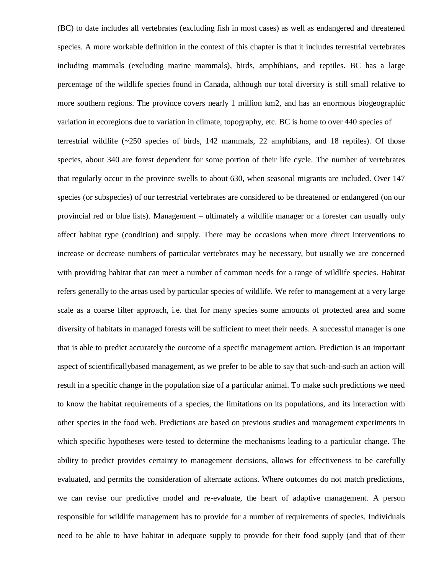(BC) to date includes all vertebrates (excluding fish in most cases) as well as endangered and threatened species. A more workable definition in the context of this chapter is that it includes terrestrial vertebrates including mammals (excluding marine mammals), birds, amphibians, and reptiles. BC has a large percentage of the wildlife species found in Canada, although our total diversity is still small relative to more southern regions. The province covers nearly 1 million km2, and has an enormous biogeographic variation in ecoregions due to variation in climate, topography, etc. BC is home to over 440 species of terrestrial wildlife (~250 species of birds, 142 mammals, 22 amphibians, and 18 reptiles). Of those species, about 340 are forest dependent for some portion of their life cycle. The number of vertebrates that regularly occur in the province swells to about 630, when seasonal migrants are included. Over 147 species (or subspecies) of our terrestrial vertebrates are considered to be threatened or endangered (on our provincial red or blue lists). Management – ultimately a wildlife manager or a forester can usually only affect habitat type (condition) and supply. There may be occasions when more direct interventions to increase or decrease numbers of particular vertebrates may be necessary, but usually we are concerned with providing habitat that can meet a number of common needs for a range of wildlife species. Habitat refers generally to the areas used by particular species of wildlife. We refer to management at a very large scale as a coarse filter approach, i.e. that for many species some amounts of protected area and some diversity of habitats in managed forests will be sufficient to meet their needs. A successful manager is one that is able to predict accurately the outcome of a specific management action. Prediction is an important aspect of scientificallybased management, as we prefer to be able to say that such-and-such an action will result in a specific change in the population size of a particular animal. To make such predictions we need to know the habitat requirements of a species, the limitations on its populations, and its interaction with other species in the food web. Predictions are based on previous studies and management experiments in which specific hypotheses were tested to determine the mechanisms leading to a particular change. The ability to predict provides certainty to management decisions, allows for effectiveness to be carefully evaluated, and permits the consideration of alternate actions. Where outcomes do not match predictions, we can revise our predictive model and re-evaluate, the heart of adaptive management. A person responsible for wildlife management has to provide for a number of requirements of species. Individuals need to be able to have habitat in adequate supply to provide for their food supply (and that of their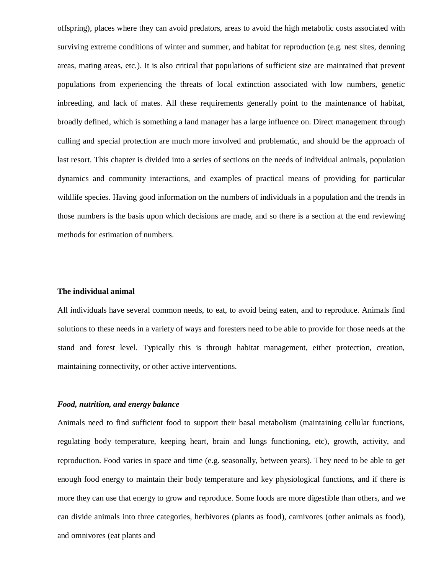offspring), places where they can avoid predators, areas to avoid the high metabolic costs associated with surviving extreme conditions of winter and summer, and habitat for reproduction (e.g. nest sites, denning areas, mating areas, etc.). It is also critical that populations of sufficient size are maintained that prevent populations from experiencing the threats of local extinction associated with low numbers, genetic inbreeding, and lack of mates. All these requirements generally point to the maintenance of habitat, broadly defined, which is something a land manager has a large influence on. Direct management through culling and special protection are much more involved and problematic, and should be the approach of last resort. This chapter is divided into a series of sections on the needs of individual animals, population dynamics and community interactions, and examples of practical means of providing for particular wildlife species. Having good information on the numbers of individuals in a population and the trends in those numbers is the basis upon which decisions are made, and so there is a section at the end reviewing methods for estimation of numbers.

## **The individual animal**

All individuals have several common needs, to eat, to avoid being eaten, and to reproduce. Animals find solutions to these needs in a variety of ways and foresters need to be able to provide for those needs at the stand and forest level. Typically this is through habitat management, either protection, creation, maintaining connectivity, or other active interventions.

### *Food, nutrition, and energy balance*

Animals need to find sufficient food to support their basal metabolism (maintaining cellular functions, regulating body temperature, keeping heart, brain and lungs functioning, etc), growth, activity, and reproduction. Food varies in space and time (e.g. seasonally, between years). They need to be able to get enough food energy to maintain their body temperature and key physiological functions, and if there is more they can use that energy to grow and reproduce. Some foods are more digestible than others, and we can divide animals into three categories, herbivores (plants as food), carnivores (other animals as food), and omnivores (eat plants and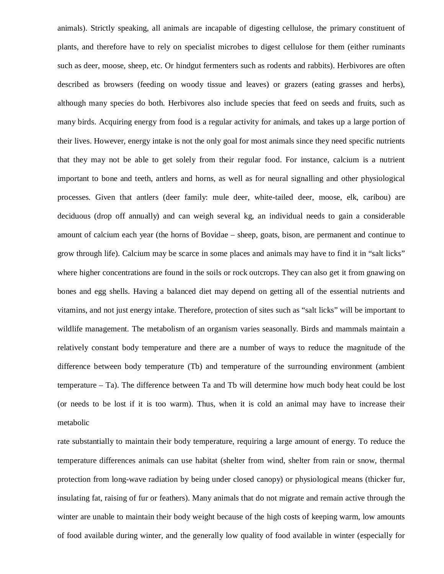animals). Strictly speaking, all animals are incapable of digesting cellulose, the primary constituent of plants, and therefore have to rely on specialist microbes to digest cellulose for them (either ruminants such as deer, moose, sheep, etc. Or hindgut fermenters such as rodents and rabbits). Herbivores are often described as browsers (feeding on woody tissue and leaves) or grazers (eating grasses and herbs), although many species do both. Herbivores also include species that feed on seeds and fruits, such as many birds. Acquiring energy from food is a regular activity for animals, and takes up a large portion of their lives. However, energy intake is not the only goal for most animals since they need specific nutrients that they may not be able to get solely from their regular food. For instance, calcium is a nutrient important to bone and teeth, antlers and horns, as well as for neural signalling and other physiological processes. Given that antlers (deer family: mule deer, white-tailed deer, moose, elk, caribou) are deciduous (drop off annually) and can weigh several kg, an individual needs to gain a considerable amount of calcium each year (the horns of Bovidae – sheep, goats, bison, are permanent and continue to grow through life). Calcium may be scarce in some places and animals may have to find it in "salt licks" where higher concentrations are found in the soils or rock outcrops. They can also get it from gnawing on bones and egg shells. Having a balanced diet may depend on getting all of the essential nutrients and vitamins, and not just energy intake. Therefore, protection of sites such as "salt licks" will be important to wildlife management. The metabolism of an organism varies seasonally. Birds and mammals maintain a relatively constant body temperature and there are a number of ways to reduce the magnitude of the difference between body temperature (Tb) and temperature of the surrounding environment (ambient temperature – Ta). The difference between Ta and Tb will determine how much body heat could be lost (or needs to be lost if it is too warm). Thus, when it is cold an animal may have to increase their metabolic

rate substantially to maintain their body temperature, requiring a large amount of energy. To reduce the temperature differences animals can use habitat (shelter from wind, shelter from rain or snow, thermal protection from long-wave radiation by being under closed canopy) or physiological means (thicker fur, insulating fat, raising of fur or feathers). Many animals that do not migrate and remain active through the winter are unable to maintain their body weight because of the high costs of keeping warm, low amounts of food available during winter, and the generally low quality of food available in winter (especially for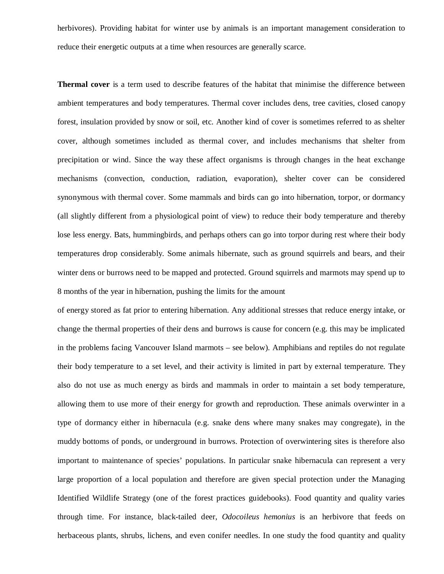herbivores). Providing habitat for winter use by animals is an important management consideration to reduce their energetic outputs at a time when resources are generally scarce.

**Thermal cover** is a term used to describe features of the habitat that minimise the difference between ambient temperatures and body temperatures. Thermal cover includes dens, tree cavities, closed canopy forest, insulation provided by snow or soil, etc. Another kind of cover is sometimes referred to as shelter cover, although sometimes included as thermal cover, and includes mechanisms that shelter from precipitation or wind. Since the way these affect organisms is through changes in the heat exchange mechanisms (convection, conduction, radiation, evaporation), shelter cover can be considered synonymous with thermal cover. Some mammals and birds can go into hibernation, torpor, or dormancy (all slightly different from a physiological point of view) to reduce their body temperature and thereby lose less energy. Bats, hummingbirds, and perhaps others can go into torpor during rest where their body temperatures drop considerably. Some animals hibernate, such as ground squirrels and bears, and their winter dens or burrows need to be mapped and protected. Ground squirrels and marmots may spend up to 8 months of the year in hibernation, pushing the limits for the amount

of energy stored as fat prior to entering hibernation. Any additional stresses that reduce energy intake, or change the thermal properties of their dens and burrows is cause for concern (e.g. this may be implicated in the problems facing Vancouver Island marmots – see below). Amphibians and reptiles do not regulate their body temperature to a set level, and their activity is limited in part by external temperature. They also do not use as much energy as birds and mammals in order to maintain a set body temperature, allowing them to use more of their energy for growth and reproduction. These animals overwinter in a type of dormancy either in hibernacula (e.g. snake dens where many snakes may congregate), in the muddy bottoms of ponds, or underground in burrows. Protection of overwintering sites is therefore also important to maintenance of species' populations. In particular snake hibernacula can represent a very large proportion of a local population and therefore are given special protection under the Managing Identified Wildlife Strategy (one of the forest practices guidebooks). Food quantity and quality varies through time. For instance, black-tailed deer, *Odocoileus hemonius* is an herbivore that feeds on herbaceous plants, shrubs, lichens, and even conifer needles. In one study the food quantity and quality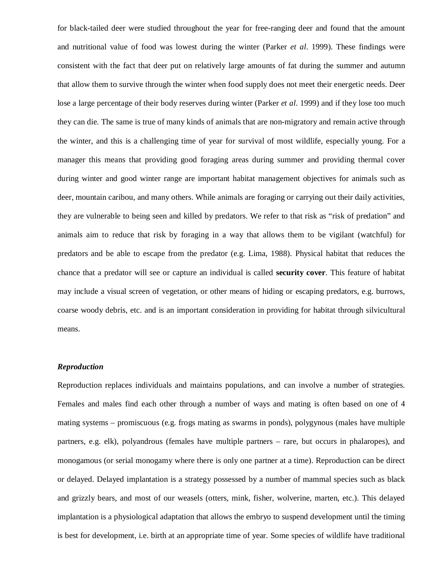for black-tailed deer were studied throughout the year for free-ranging deer and found that the amount and nutritional value of food was lowest during the winter (Parker *et al*. 1999). These findings were consistent with the fact that deer put on relatively large amounts of fat during the summer and autumn that allow them to survive through the winter when food supply does not meet their energetic needs. Deer lose a large percentage of their body reserves during winter (Parker *et al*. 1999) and if they lose too much they can die. The same is true of many kinds of animals that are non-migratory and remain active through the winter, and this is a challenging time of year for survival of most wildlife, especially young. For a manager this means that providing good foraging areas during summer and providing thermal cover during winter and good winter range are important habitat management objectives for animals such as deer, mountain caribou, and many others. While animals are foraging or carrying out their daily activities, they are vulnerable to being seen and killed by predators. We refer to that risk as "risk of predation" and animals aim to reduce that risk by foraging in a way that allows them to be vigilant (watchful) for predators and be able to escape from the predator (e.g. Lima, 1988). Physical habitat that reduces the chance that a predator will see or capture an individual is called **security cover**. This feature of habitat may include a visual screen of vegetation, or other means of hiding or escaping predators, e.g. burrows, coarse woody debris, etc. and is an important consideration in providing for habitat through silvicultural means.

## *Reproduction*

Reproduction replaces individuals and maintains populations, and can involve a number of strategies. Females and males find each other through a number of ways and mating is often based on one of 4 mating systems – promiscuous (e.g. frogs mating as swarms in ponds), polygynous (males have multiple partners, e.g. elk), polyandrous (females have multiple partners – rare, but occurs in phalaropes), and monogamous (or serial monogamy where there is only one partner at a time). Reproduction can be direct or delayed. Delayed implantation is a strategy possessed by a number of mammal species such as black and grizzly bears, and most of our weasels (otters, mink, fisher, wolverine, marten, etc.). This delayed implantation is a physiological adaptation that allows the embryo to suspend development until the timing is best for development, i.e. birth at an appropriate time of year. Some species of wildlife have traditional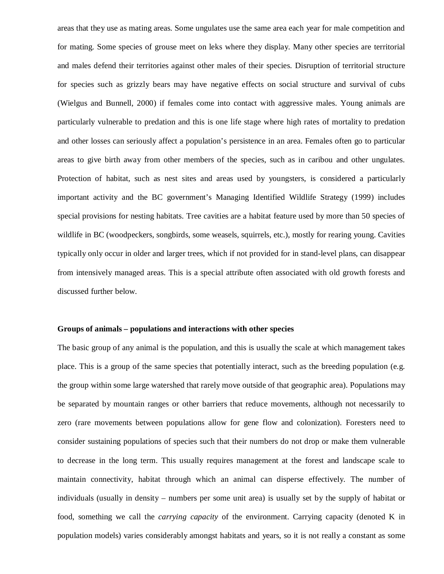areas that they use as mating areas. Some ungulates use the same area each year for male competition and for mating. Some species of grouse meet on leks where they display. Many other species are territorial and males defend their territories against other males of their species. Disruption of territorial structure for species such as grizzly bears may have negative effects on social structure and survival of cubs (Wielgus and Bunnell, 2000) if females come into contact with aggressive males. Young animals are particularly vulnerable to predation and this is one life stage where high rates of mortality to predation and other losses can seriously affect a population's persistence in an area. Females often go to particular areas to give birth away from other members of the species, such as in caribou and other ungulates. Protection of habitat, such as nest sites and areas used by youngsters, is considered a particularly important activity and the BC government's Managing Identified Wildlife Strategy (1999) includes special provisions for nesting habitats. Tree cavities are a habitat feature used by more than 50 species of wildlife in BC (woodpeckers, songbirds, some weasels, squirrels, etc.), mostly for rearing young. Cavities typically only occur in older and larger trees, which if not provided for in stand-level plans, can disappear from intensively managed areas. This is a special attribute often associated with old growth forests and discussed further below.

## **Groups of animals – populations and interactions with other species**

The basic group of any animal is the population, and this is usually the scale at which management takes place. This is a group of the same species that potentially interact, such as the breeding population (e.g. the group within some large watershed that rarely move outside of that geographic area). Populations may be separated by mountain ranges or other barriers that reduce movements, although not necessarily to zero (rare movements between populations allow for gene flow and colonization). Foresters need to consider sustaining populations of species such that their numbers do not drop or make them vulnerable to decrease in the long term. This usually requires management at the forest and landscape scale to maintain connectivity, habitat through which an animal can disperse effectively. The number of individuals (usually in density – numbers per some unit area) is usually set by the supply of habitat or food, something we call the *carrying capacity* of the environment. Carrying capacity (denoted K in population models) varies considerably amongst habitats and years, so it is not really a constant as some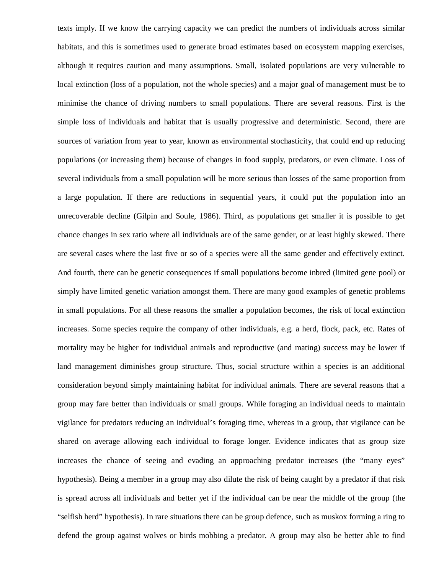texts imply. If we know the carrying capacity we can predict the numbers of individuals across similar habitats, and this is sometimes used to generate broad estimates based on ecosystem mapping exercises, although it requires caution and many assumptions. Small, isolated populations are very vulnerable to local extinction (loss of a population, not the whole species) and a major goal of management must be to minimise the chance of driving numbers to small populations. There are several reasons. First is the simple loss of individuals and habitat that is usually progressive and deterministic. Second, there are sources of variation from year to year, known as environmental stochasticity, that could end up reducing populations (or increasing them) because of changes in food supply, predators, or even climate. Loss of several individuals from a small population will be more serious than losses of the same proportion from a large population. If there are reductions in sequential years, it could put the population into an unrecoverable decline (Gilpin and Soule, 1986). Third, as populations get smaller it is possible to get chance changes in sex ratio where all individuals are of the same gender, or at least highly skewed. There are several cases where the last five or so of a species were all the same gender and effectively extinct. And fourth, there can be genetic consequences if small populations become inbred (limited gene pool) or simply have limited genetic variation amongst them. There are many good examples of genetic problems in small populations. For all these reasons the smaller a population becomes, the risk of local extinction increases. Some species require the company of other individuals, e.g. a herd, flock, pack, etc. Rates of mortality may be higher for individual animals and reproductive (and mating) success may be lower if land management diminishes group structure. Thus, social structure within a species is an additional consideration beyond simply maintaining habitat for individual animals. There are several reasons that a group may fare better than individuals or small groups. While foraging an individual needs to maintain vigilance for predators reducing an individual's foraging time, whereas in a group, that vigilance can be shared on average allowing each individual to forage longer. Evidence indicates that as group size increases the chance of seeing and evading an approaching predator increases (the "many eyes" hypothesis). Being a member in a group may also dilute the risk of being caught by a predator if that risk is spread across all individuals and better yet if the individual can be near the middle of the group (the "selfish herd" hypothesis). In rare situations there can be group defence, such as muskox forming a ring to defend the group against wolves or birds mobbing a predator. A group may also be better able to find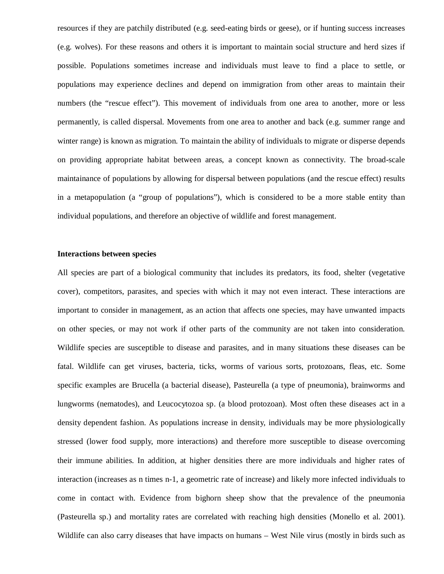resources if they are patchily distributed (e.g. seed-eating birds or geese), or if hunting success increases (e.g. wolves). For these reasons and others it is important to maintain social structure and herd sizes if possible. Populations sometimes increase and individuals must leave to find a place to settle, or populations may experience declines and depend on immigration from other areas to maintain their numbers (the "rescue effect"). This movement of individuals from one area to another, more or less permanently, is called dispersal. Movements from one area to another and back (e.g. summer range and winter range) is known as migration. To maintain the ability of individuals to migrate or disperse depends on providing appropriate habitat between areas, a concept known as connectivity. The broad-scale maintainance of populations by allowing for dispersal between populations (and the rescue effect) results in a metapopulation (a "group of populations"), which is considered to be a more stable entity than individual populations, and therefore an objective of wildlife and forest management.

## **Interactions between species**

All species are part of a biological community that includes its predators, its food, shelter (vegetative cover), competitors, parasites, and species with which it may not even interact. These interactions are important to consider in management, as an action that affects one species, may have unwanted impacts on other species, or may not work if other parts of the community are not taken into consideration. Wildlife species are susceptible to disease and parasites, and in many situations these diseases can be fatal. Wildlife can get viruses, bacteria, ticks, worms of various sorts, protozoans, fleas, etc. Some specific examples are Brucella (a bacterial disease), Pasteurella (a type of pneumonia), brainworms and lungworms (nematodes), and Leucocytozoa sp. (a blood protozoan). Most often these diseases act in a density dependent fashion. As populations increase in density, individuals may be more physiologically stressed (lower food supply, more interactions) and therefore more susceptible to disease overcoming their immune abilities. In addition, at higher densities there are more individuals and higher rates of interaction (increases as n times n-1, a geometric rate of increase) and likely more infected individuals to come in contact with. Evidence from bighorn sheep show that the prevalence of the pneumonia (Pasteurella sp.) and mortality rates are correlated with reaching high densities (Monello et al. 2001). Wildlife can also carry diseases that have impacts on humans – West Nile virus (mostly in birds such as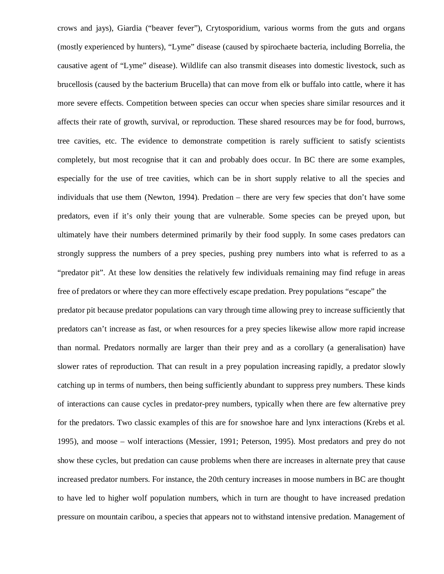crows and jays), Giardia ("beaver fever"), Crytosporidium, various worms from the guts and organs (mostly experienced by hunters), "Lyme" disease (caused by spirochaete bacteria, including Borrelia, the causative agent of "Lyme" disease). Wildlife can also transmit diseases into domestic livestock, such as brucellosis (caused by the bacterium Brucella) that can move from elk or buffalo into cattle, where it has more severe effects. Competition between species can occur when species share similar resources and it affects their rate of growth, survival, or reproduction. These shared resources may be for food, burrows, tree cavities, etc. The evidence to demonstrate competition is rarely sufficient to satisfy scientists completely, but most recognise that it can and probably does occur. In BC there are some examples, especially for the use of tree cavities, which can be in short supply relative to all the species and individuals that use them (Newton, 1994). Predation – there are very few species that don't have some predators, even if it's only their young that are vulnerable. Some species can be preyed upon, but ultimately have their numbers determined primarily by their food supply. In some cases predators can strongly suppress the numbers of a prey species, pushing prey numbers into what is referred to as a "predator pit". At these low densities the relatively few individuals remaining may find refuge in areas free of predators or where they can more effectively escape predation. Prey populations "escape" the predator pit because predator populations can vary through time allowing prey to increase sufficiently that predators can't increase as fast, or when resources for a prey species likewise allow more rapid increase than normal. Predators normally are larger than their prey and as a corollary (a generalisation) have slower rates of reproduction. That can result in a prey population increasing rapidly, a predator slowly catching up in terms of numbers, then being sufficiently abundant to suppress prey numbers. These kinds of interactions can cause cycles in predator-prey numbers, typically when there are few alternative prey for the predators. Two classic examples of this are for snowshoe hare and lynx interactions (Krebs et al. 1995), and moose – wolf interactions (Messier, 1991; Peterson, 1995). Most predators and prey do not show these cycles, but predation can cause problems when there are increases in alternate prey that cause increased predator numbers. For instance, the 20th century increases in moose numbers in BC are thought to have led to higher wolf population numbers, which in turn are thought to have increased predation pressure on mountain caribou, a species that appears not to withstand intensive predation. Management of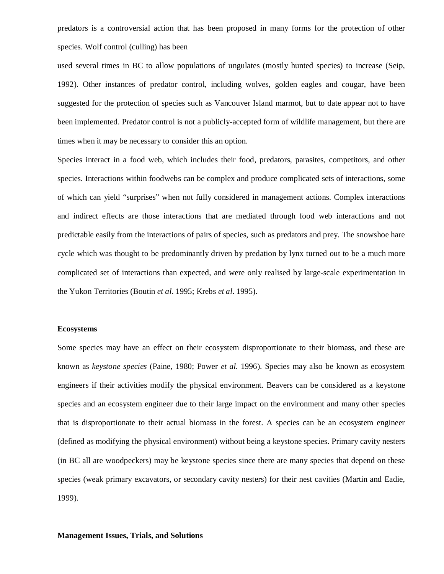predators is a controversial action that has been proposed in many forms for the protection of other species. Wolf control (culling) has been

used several times in BC to allow populations of ungulates (mostly hunted species) to increase (Seip, 1992). Other instances of predator control, including wolves, golden eagles and cougar, have been suggested for the protection of species such as Vancouver Island marmot, but to date appear not to have been implemented. Predator control is not a publicly-accepted form of wildlife management, but there are times when it may be necessary to consider this an option.

Species interact in a food web, which includes their food, predators, parasites, competitors, and other species. Interactions within foodwebs can be complex and produce complicated sets of interactions, some of which can yield "surprises" when not fully considered in management actions. Complex interactions and indirect effects are those interactions that are mediated through food web interactions and not predictable easily from the interactions of pairs of species, such as predators and prey. The snowshoe hare cycle which was thought to be predominantly driven by predation by lynx turned out to be a much more complicated set of interactions than expected, and were only realised by large-scale experimentation in the Yukon Territories (Boutin *et al*. 1995; Krebs *et al*. 1995).

#### **Ecosystems**

Some species may have an effect on their ecosystem disproportionate to their biomass, and these are known as *keystone species* (Paine, 1980; Power *et al.* 1996). Species may also be known as ecosystem engineers if their activities modify the physical environment. Beavers can be considered as a keystone species and an ecosystem engineer due to their large impact on the environment and many other species that is disproportionate to their actual biomass in the forest. A species can be an ecosystem engineer (defined as modifying the physical environment) without being a keystone species. Primary cavity nesters (in BC all are woodpeckers) may be keystone species since there are many species that depend on these species (weak primary excavators, or secondary cavity nesters) for their nest cavities (Martin and Eadie, 1999).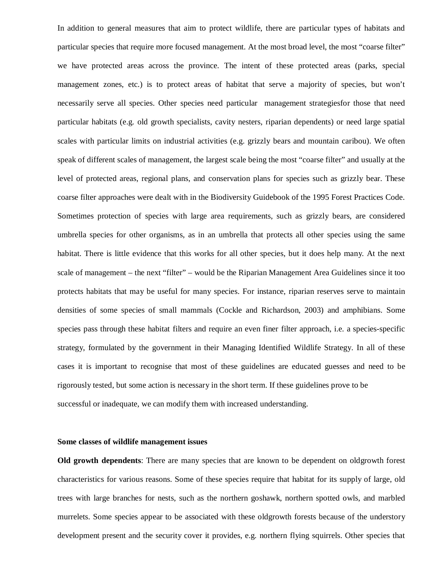In addition to general measures that aim to protect wildlife, there are particular types of habitats and particular species that require more focused management. At the most broad level, the most "coarse filter" we have protected areas across the province. The intent of these protected areas (parks, special management zones, etc.) is to protect areas of habitat that serve a majority of species, but won't necessarily serve all species. Other species need particular management strategiesfor those that need particular habitats (e.g. old growth specialists, cavity nesters, riparian dependents) or need large spatial scales with particular limits on industrial activities (e.g. grizzly bears and mountain caribou). We often speak of different scales of management, the largest scale being the most "coarse filter" and usually at the level of protected areas, regional plans, and conservation plans for species such as grizzly bear. These coarse filter approaches were dealt with in the Biodiversity Guidebook of the 1995 Forest Practices Code. Sometimes protection of species with large area requirements, such as grizzly bears, are considered umbrella species for other organisms, as in an umbrella that protects all other species using the same habitat. There is little evidence that this works for all other species, but it does help many. At the next scale of management – the next "filter" – would be the Riparian Management Area Guidelines since it too protects habitats that may be useful for many species. For instance, riparian reserves serve to maintain densities of some species of small mammals (Cockle and Richardson, 2003) and amphibians. Some species pass through these habitat filters and require an even finer filter approach, i.e. a species-specific strategy, formulated by the government in their Managing Identified Wildlife Strategy. In all of these cases it is important to recognise that most of these guidelines are educated guesses and need to be rigorously tested, but some action is necessary in the short term. If these guidelines prove to be successful or inadequate, we can modify them with increased understanding.

### **Some classes of wildlife management issues**

**Old growth dependents**: There are many species that are known to be dependent on oldgrowth forest characteristics for various reasons. Some of these species require that habitat for its supply of large, old trees with large branches for nests, such as the northern goshawk, northern spotted owls, and marbled murrelets. Some species appear to be associated with these oldgrowth forests because of the understory development present and the security cover it provides, e.g. northern flying squirrels. Other species that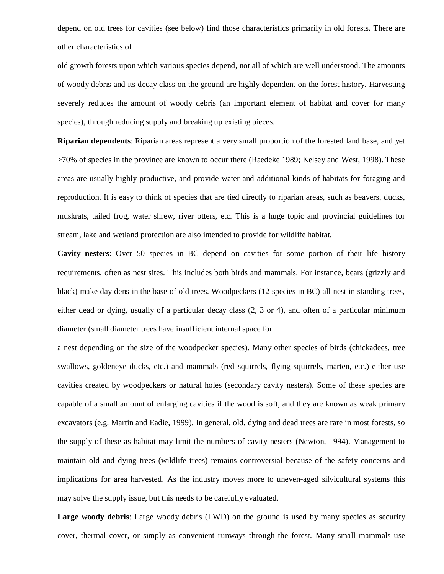depend on old trees for cavities (see below) find those characteristics primarily in old forests. There are other characteristics of

old growth forests upon which various species depend, not all of which are well understood. The amounts of woody debris and its decay class on the ground are highly dependent on the forest history. Harvesting severely reduces the amount of woody debris (an important element of habitat and cover for many species), through reducing supply and breaking up existing pieces.

**Riparian dependents**: Riparian areas represent a very small proportion of the forested land base, and yet >70% of species in the province are known to occur there (Raedeke 1989; Kelsey and West, 1998). These areas are usually highly productive, and provide water and additional kinds of habitats for foraging and reproduction. It is easy to think of species that are tied directly to riparian areas, such as beavers, ducks, muskrats, tailed frog, water shrew, river otters, etc. This is a huge topic and provincial guidelines for stream, lake and wetland protection are also intended to provide for wildlife habitat.

**Cavity nesters**: Over 50 species in BC depend on cavities for some portion of their life history requirements, often as nest sites. This includes both birds and mammals. For instance, bears (grizzly and black) make day dens in the base of old trees. Woodpeckers (12 species in BC) all nest in standing trees, either dead or dying, usually of a particular decay class (2, 3 or 4), and often of a particular minimum diameter (small diameter trees have insufficient internal space for

a nest depending on the size of the woodpecker species). Many other species of birds (chickadees, tree swallows, goldeneye ducks, etc.) and mammals (red squirrels, flying squirrels, marten, etc.) either use cavities created by woodpeckers or natural holes (secondary cavity nesters). Some of these species are capable of a small amount of enlarging cavities if the wood is soft, and they are known as weak primary excavators (e.g. Martin and Eadie, 1999). In general, old, dying and dead trees are rare in most forests, so the supply of these as habitat may limit the numbers of cavity nesters (Newton, 1994). Management to maintain old and dying trees (wildlife trees) remains controversial because of the safety concerns and implications for area harvested. As the industry moves more to uneven-aged silvicultural systems this may solve the supply issue, but this needs to be carefully evaluated.

Large woody debris: Large woody debris (LWD) on the ground is used by many species as security cover, thermal cover, or simply as convenient runways through the forest. Many small mammals use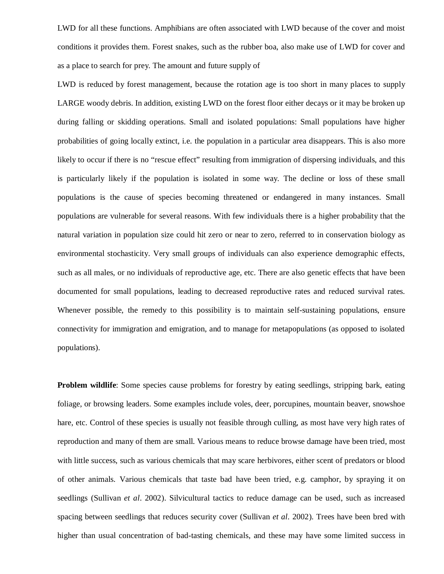LWD for all these functions. Amphibians are often associated with LWD because of the cover and moist conditions it provides them. Forest snakes, such as the rubber boa, also make use of LWD for cover and as a place to search for prey. The amount and future supply of

LWD is reduced by forest management, because the rotation age is too short in many places to supply LARGE woody debris. In addition, existing LWD on the forest floor either decays or it may be broken up during falling or skidding operations. Small and isolated populations: Small populations have higher probabilities of going locally extinct, i.e. the population in a particular area disappears. This is also more likely to occur if there is no "rescue effect" resulting from immigration of dispersing individuals, and this is particularly likely if the population is isolated in some way. The decline or loss of these small populations is the cause of species becoming threatened or endangered in many instances. Small populations are vulnerable for several reasons. With few individuals there is a higher probability that the natural variation in population size could hit zero or near to zero, referred to in conservation biology as environmental stochasticity. Very small groups of individuals can also experience demographic effects, such as all males, or no individuals of reproductive age, etc. There are also genetic effects that have been documented for small populations, leading to decreased reproductive rates and reduced survival rates. Whenever possible, the remedy to this possibility is to maintain self-sustaining populations, ensure connectivity for immigration and emigration, and to manage for metapopulations (as opposed to isolated populations).

**Problem wildlife**: Some species cause problems for forestry by eating seedlings, stripping bark, eating foliage, or browsing leaders. Some examples include voles, deer, porcupines, mountain beaver, snowshoe hare, etc. Control of these species is usually not feasible through culling, as most have very high rates of reproduction and many of them are small. Various means to reduce browse damage have been tried, most with little success, such as various chemicals that may scare herbivores, either scent of predators or blood of other animals. Various chemicals that taste bad have been tried, e.g. camphor, by spraying it on seedlings (Sullivan *et al*. 2002). Silvicultural tactics to reduce damage can be used, such as increased spacing between seedlings that reduces security cover (Sullivan *et al*. 2002). Trees have been bred with higher than usual concentration of bad-tasting chemicals, and these may have some limited success in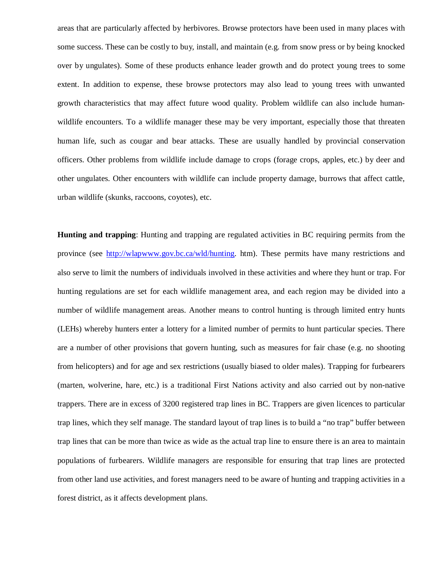areas that are particularly affected by herbivores. Browse protectors have been used in many places with some success. These can be costly to buy, install, and maintain (e.g. from snow press or by being knocked over by ungulates). Some of these products enhance leader growth and do protect young trees to some extent. In addition to expense, these browse protectors may also lead to young trees with unwanted growth characteristics that may affect future wood quality. Problem wildlife can also include humanwildlife encounters. To a wildlife manager these may be very important, especially those that threaten human life, such as cougar and bear attacks. These are usually handled by provincial conservation officers. Other problems from wildlife include damage to crops (forage crops, apples, etc.) by deer and other ungulates. Other encounters with wildlife can include property damage, burrows that affect cattle, urban wildlife (skunks, raccoons, coyotes), etc.

**Hunting and trapping**: Hunting and trapping are regulated activities in BC requiring permits from the province (see http://wlapwww.gov.bc.ca/wld/hunting. htm). These permits have many restrictions and also serve to limit the numbers of individuals involved in these activities and where they hunt or trap. For hunting regulations are set for each wildlife management area, and each region may be divided into a number of wildlife management areas. Another means to control hunting is through limited entry hunts (LEHs) whereby hunters enter a lottery for a limited number of permits to hunt particular species. There are a number of other provisions that govern hunting, such as measures for fair chase (e.g. no shooting from helicopters) and for age and sex restrictions (usually biased to older males). Trapping for furbearers (marten, wolverine, hare, etc.) is a traditional First Nations activity and also carried out by non-native trappers. There are in excess of 3200 registered trap lines in BC. Trappers are given licences to particular trap lines, which they self manage. The standard layout of trap lines is to build a "no trap" buffer between trap lines that can be more than twice as wide as the actual trap line to ensure there is an area to maintain populations of furbearers. Wildlife managers are responsible for ensuring that trap lines are protected from other land use activities, and forest managers need to be aware of hunting and trapping activities in a forest district, as it affects development plans.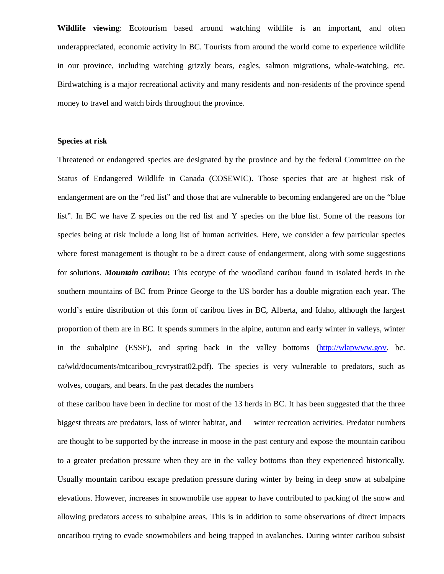**Wildlife viewing**: Ecotourism based around watching wildlife is an important, and often underappreciated, economic activity in BC. Tourists from around the world come to experience wildlife in our province, including watching grizzly bears, eagles, salmon migrations, whale-watching, etc. Birdwatching is a major recreational activity and many residents and non-residents of the province spend money to travel and watch birds throughout the province.

### **Species at risk**

Threatened or endangered species are designated by the province and by the federal Committee on the Status of Endangered Wildlife in Canada (COSEWIC). Those species that are at highest risk of endangerment are on the "red list" and those that are vulnerable to becoming endangered are on the "blue list". In BC we have Z species on the red list and Y species on the blue list. Some of the reasons for species being at risk include a long list of human activities. Here, we consider a few particular species where forest management is thought to be a direct cause of endangerment, along with some suggestions for solutions. *Mountain caribou***:** This ecotype of the woodland caribou found in isolated herds in the southern mountains of BC from Prince George to the US border has a double migration each year. The world's entire distribution of this form of caribou lives in BC, Alberta, and Idaho, although the largest proportion of them are in BC. It spends summers in the alpine, autumn and early winter in valleys, winter in the subalpine (ESSF), and spring back in the valley bottoms (http://wlapwww.gov. bc. ca/wld/documents/mtcaribou\_rcvrystrat02.pdf). The species is very vulnerable to predators, such as wolves, cougars, and bears. In the past decades the numbers

of these caribou have been in decline for most of the 13 herds in BC. It has been suggested that the three biggest threats are predators, loss of winter habitat, and winter recreation activities. Predator numbers are thought to be supported by the increase in moose in the past century and expose the mountain caribou to a greater predation pressure when they are in the valley bottoms than they experienced historically. Usually mountain caribou escape predation pressure during winter by being in deep snow at subalpine elevations. However, increases in snowmobile use appear to have contributed to packing of the snow and allowing predators access to subalpine areas. This is in addition to some observations of direct impacts oncaribou trying to evade snowmobilers and being trapped in avalanches. During winter caribou subsist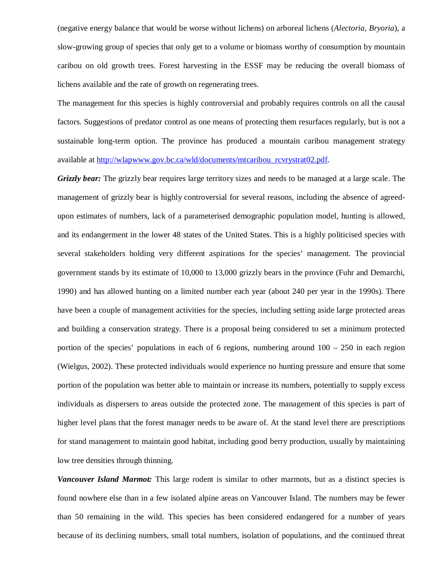(negative energy balance that would be worse without lichens) on arboreal lichens (*Alectoria*, *Bryoria*), a slow-growing group of species that only get to a volume or biomass worthy of consumption by mountain caribou on old growth trees. Forest harvesting in the ESSF may be reducing the overall biomass of lichens available and the rate of growth on regenerating trees.

The management for this species is highly controversial and probably requires controls on all the causal factors. Suggestions of predator control as one means of protecting them resurfaces regularly, but is not a sustainable long-term option. The province has produced a mountain caribou management strategy available at http://wlapwww.gov.bc.ca/wld/documents/mtcaribou\_rcvrystrat02.pdf.

*Grizzly bear:* The grizzly bear requires large territory sizes and needs to be managed at a large scale. The management of grizzly bear is highly controversial for several reasons, including the absence of agreedupon estimates of numbers, lack of a parameterised demographic population model, hunting is allowed, and its endangerment in the lower 48 states of the United States. This is a highly politicised species with several stakeholders holding very different aspirations for the species' management. The provincial government stands by its estimate of 10,000 to 13,000 grizzly bears in the province (Fuhr and Demarchi, 1990) and has allowed hunting on a limited number each year (about 240 per year in the 1990s). There have been a couple of management activities for the species, including setting aside large protected areas and building a conservation strategy. There is a proposal being considered to set a minimum protected portion of the species' populations in each of 6 regions, numbering around  $100 - 250$  in each region (Wielgus, 2002). These protected individuals would experience no hunting pressure and ensure that some portion of the population was better able to maintain or increase its numbers, potentially to supply excess individuals as dispersers to areas outside the protected zone. The management of this species is part of higher level plans that the forest manager needs to be aware of. At the stand level there are prescriptions for stand management to maintain good habitat, including good berry production, usually by maintaining low tree densities through thinning.

*Vancouver Island Marmot:* This large rodent is similar to other marmots, but as a distinct species is found nowhere else than in a few isolated alpine areas on Vancouver Island. The numbers may be fewer than 50 remaining in the wild. This species has been considered endangered for a number of years because of its declining numbers, small total numbers, isolation of populations, and the continued threat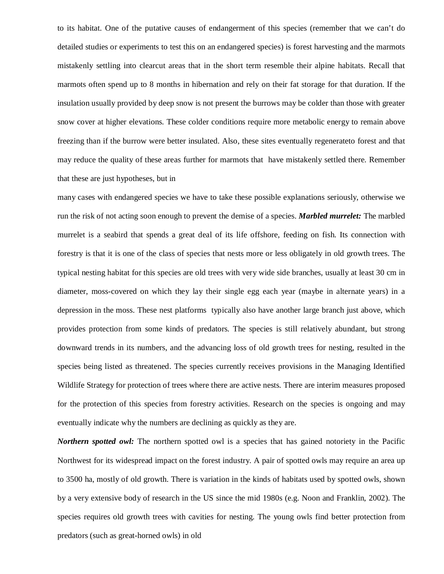to its habitat. One of the putative causes of endangerment of this species (remember that we can't do detailed studies or experiments to test this on an endangered species) is forest harvesting and the marmots mistakenly settling into clearcut areas that in the short term resemble their alpine habitats. Recall that marmots often spend up to 8 months in hibernation and rely on their fat storage for that duration. If the insulation usually provided by deep snow is not present the burrows may be colder than those with greater snow cover at higher elevations. These colder conditions require more metabolic energy to remain above freezing than if the burrow were better insulated. Also, these sites eventually regenerateto forest and that may reduce the quality of these areas further for marmots that have mistakenly settled there. Remember that these are just hypotheses, but in

many cases with endangered species we have to take these possible explanations seriously, otherwise we run the risk of not acting soon enough to prevent the demise of a species. *Marbled murrelet:* The marbled murrelet is a seabird that spends a great deal of its life offshore, feeding on fish. Its connection with forestry is that it is one of the class of species that nests more or less obligately in old growth trees. The typical nesting habitat for this species are old trees with very wide side branches, usually at least 30 cm in diameter, moss-covered on which they lay their single egg each year (maybe in alternate years) in a depression in the moss. These nest platforms typically also have another large branch just above, which provides protection from some kinds of predators. The species is still relatively abundant, but strong downward trends in its numbers, and the advancing loss of old growth trees for nesting, resulted in the species being listed as threatened. The species currently receives provisions in the Managing Identified Wildlife Strategy for protection of trees where there are active nests. There are interim measures proposed for the protection of this species from forestry activities. Research on the species is ongoing and may eventually indicate why the numbers are declining as quickly as they are.

*Northern spotted owl:* The northern spotted owl is a species that has gained notoriety in the Pacific Northwest for its widespread impact on the forest industry. A pair of spotted owls may require an area up to 3500 ha, mostly of old growth. There is variation in the kinds of habitats used by spotted owls, shown by a very extensive body of research in the US since the mid 1980s (e.g. Noon and Franklin, 2002). The species requires old growth trees with cavities for nesting. The young owls find better protection from predators (such as great-horned owls) in old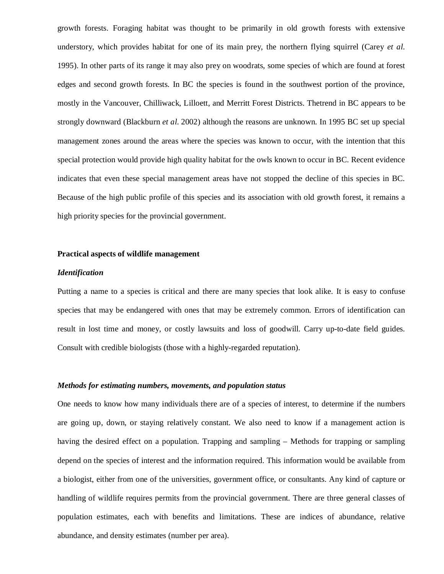growth forests. Foraging habitat was thought to be primarily in old growth forests with extensive understory, which provides habitat for one of its main prey, the northern flying squirrel (Carey *et al*. 1995). In other parts of its range it may also prey on woodrats, some species of which are found at forest edges and second growth forests. In BC the species is found in the southwest portion of the province, mostly in the Vancouver, Chilliwack, Lilloett, and Merritt Forest Districts. Thetrend in BC appears to be strongly downward (Blackburn *et al*. 2002) although the reasons are unknown. In 1995 BC set up special management zones around the areas where the species was known to occur, with the intention that this special protection would provide high quality habitat for the owls known to occur in BC. Recent evidence indicates that even these special management areas have not stopped the decline of this species in BC. Because of the high public profile of this species and its association with old growth forest, it remains a high priority species for the provincial government.

#### **Practical aspects of wildlife management**

### *Identification*

Putting a name to a species is critical and there are many species that look alike. It is easy to confuse species that may be endangered with ones that may be extremely common. Errors of identification can result in lost time and money, or costly lawsuits and loss of goodwill. Carry up-to-date field guides. Consult with credible biologists (those with a highly-regarded reputation).

### *Methods for estimating numbers, movements, and population status*

One needs to know how many individuals there are of a species of interest, to determine if the numbers are going up, down, or staying relatively constant. We also need to know if a management action is having the desired effect on a population. Trapping and sampling – Methods for trapping or sampling depend on the species of interest and the information required. This information would be available from a biologist, either from one of the universities, government office, or consultants. Any kind of capture or handling of wildlife requires permits from the provincial government. There are three general classes of population estimates, each with benefits and limitations. These are indices of abundance, relative abundance, and density estimates (number per area).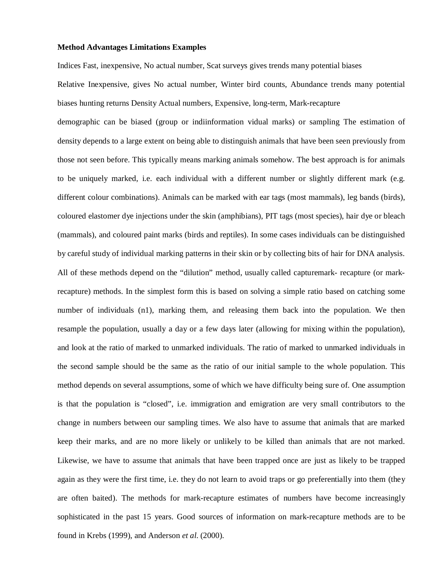## **Method Advantages Limitations Examples**

Indices Fast, inexpensive, No actual number, Scat surveys gives trends many potential biases

Relative Inexpensive, gives No actual number, Winter bird counts, Abundance trends many potential biases hunting returns Density Actual numbers, Expensive, long-term, Mark-recapture

demographic can be biased (group or indiinformation vidual marks) or sampling The estimation of density depends to a large extent on being able to distinguish animals that have been seen previously from those not seen before. This typically means marking animals somehow. The best approach is for animals to be uniquely marked, i.e. each individual with a different number or slightly different mark (e.g. different colour combinations). Animals can be marked with ear tags (most mammals), leg bands (birds), coloured elastomer dye injections under the skin (amphibians), PIT tags (most species), hair dye or bleach (mammals), and coloured paint marks (birds and reptiles). In some cases individuals can be distinguished by careful study of individual marking patterns in their skin or by collecting bits of hair for DNA analysis. All of these methods depend on the "dilution" method, usually called capturemark- recapture (or markrecapture) methods. In the simplest form this is based on solving a simple ratio based on catching some number of individuals (n1), marking them, and releasing them back into the population. We then resample the population, usually a day or a few days later (allowing for mixing within the population), and look at the ratio of marked to unmarked individuals. The ratio of marked to unmarked individuals in the second sample should be the same as the ratio of our initial sample to the whole population. This method depends on several assumptions, some of which we have difficulty being sure of. One assumption is that the population is "closed", i.e. immigration and emigration are very small contributors to the change in numbers between our sampling times. We also have to assume that animals that are marked keep their marks, and are no more likely or unlikely to be killed than animals that are not marked. Likewise, we have to assume that animals that have been trapped once are just as likely to be trapped again as they were the first time, i.e. they do not learn to avoid traps or go preferentially into them (they are often baited). The methods for mark-recapture estimates of numbers have become increasingly sophisticated in the past 15 years. Good sources of information on mark-recapture methods are to be found in Krebs (1999), and Anderson *et al*. (2000).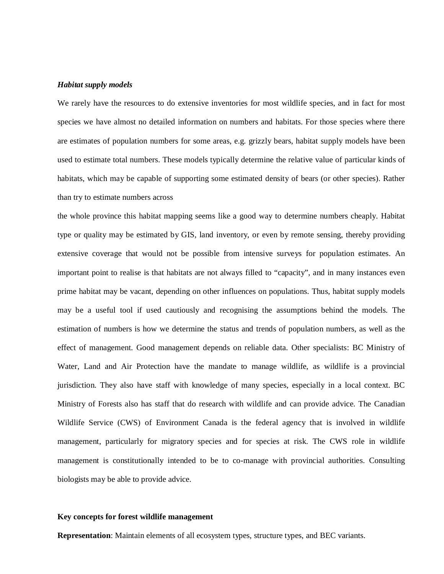## *Habitat supply models*

We rarely have the resources to do extensive inventories for most wildlife species, and in fact for most species we have almost no detailed information on numbers and habitats. For those species where there are estimates of population numbers for some areas, e.g. grizzly bears, habitat supply models have been used to estimate total numbers. These models typically determine the relative value of particular kinds of habitats, which may be capable of supporting some estimated density of bears (or other species). Rather than try to estimate numbers across

the whole province this habitat mapping seems like a good way to determine numbers cheaply. Habitat type or quality may be estimated by GIS, land inventory, or even by remote sensing, thereby providing extensive coverage that would not be possible from intensive surveys for population estimates. An important point to realise is that habitats are not always filled to "capacity", and in many instances even prime habitat may be vacant, depending on other influences on populations. Thus, habitat supply models may be a useful tool if used cautiously and recognising the assumptions behind the models. The estimation of numbers is how we determine the status and trends of population numbers, as well as the effect of management. Good management depends on reliable data. Other specialists: BC Ministry of Water, Land and Air Protection have the mandate to manage wildlife, as wildlife is a provincial jurisdiction. They also have staff with knowledge of many species, especially in a local context. BC Ministry of Forests also has staff that do research with wildlife and can provide advice. The Canadian Wildlife Service (CWS) of Environment Canada is the federal agency that is involved in wildlife management, particularly for migratory species and for species at risk. The CWS role in wildlife management is constitutionally intended to be to co-manage with provincial authorities. Consulting biologists may be able to provide advice.

## **Key concepts for forest wildlife management**

**Representation**: Maintain elements of all ecosystem types, structure types, and BEC variants.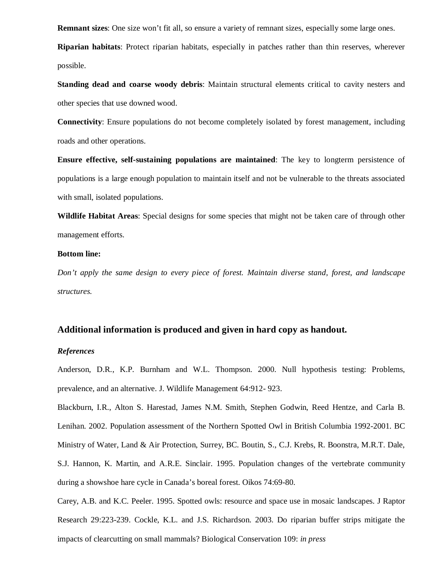**Remnant sizes**: One size won't fit all, so ensure a variety of remnant sizes, especially some large ones.

**Riparian habitats**: Protect riparian habitats, especially in patches rather than thin reserves, wherever possible.

**Standing dead and coarse woody debris**: Maintain structural elements critical to cavity nesters and other species that use downed wood.

**Connectivity**: Ensure populations do not become completely isolated by forest management, including roads and other operations.

**Ensure effective, self-sustaining populations are maintained**: The key to longterm persistence of populations is a large enough population to maintain itself and not be vulnerable to the threats associated with small, isolated populations.

**Wildlife Habitat Areas**: Special designs for some species that might not be taken care of through other management efforts.

## **Bottom line:**

*Don't apply the same design to every piece of forest. Maintain diverse stand, forest, and landscape structures.*

# **Additional information is produced and given in hard copy as handout.**

# *References*

Anderson, D.R., K.P. Burnham and W.L. Thompson. 2000. Null hypothesis testing: Problems, prevalence, and an alternative. J. Wildlife Management 64:912- 923.

Blackburn, I.R., Alton S. Harestad, James N.M. Smith, Stephen Godwin, Reed Hentze, and Carla B. Lenihan. 2002. Population assessment of the Northern Spotted Owl in British Columbia 1992-2001. BC Ministry of Water, Land & Air Protection, Surrey, BC. Boutin, S., C.J. Krebs, R. Boonstra, M.R.T. Dale, S.J. Hannon, K. Martin, and A.R.E. Sinclair. 1995. Population changes of the vertebrate community during a showshoe hare cycle in Canada's boreal forest. Oikos 74:69-80.

Carey, A.B. and K.C. Peeler. 1995. Spotted owls: resource and space use in mosaic landscapes. J Raptor Research 29:223-239. Cockle, K.L. and J.S. Richardson. 2003. Do riparian buffer strips mitigate the impacts of clearcutting on small mammals? Biological Conservation 109: *in press*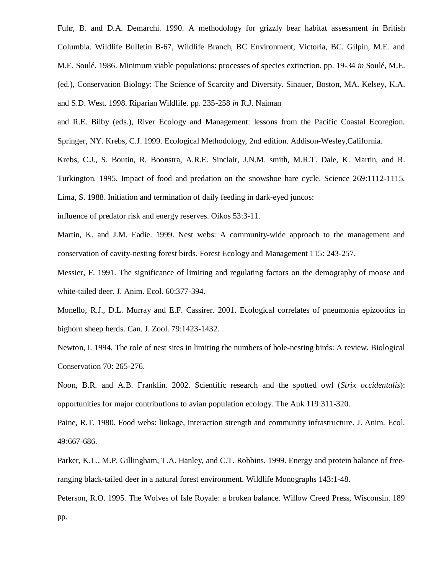Fuhr, B. and D.A. Demarchi. 1990. A methodology for grizzly bear habitat assessment in British Columbia. Wildlife Bulletin B-67, Wildlife Branch, BC Environment, Victoria, BC. Gilpin, M.E. and M.E. Soulé. 1986. Minimum viable populations: processes of species extinction. pp. 19-34 *in* Soulé, M.E. (ed.), Conservation Biology: The Science of Scarcity and Diversity. Sinauer, Boston, MA. Kelsey, K.A. and S.D. West. 1998. Riparian Wildlife. pp. 235-258 *in* R.J. Naiman

and R.E. Bilby (eds.), River Ecology and Management: lessons from the Pacific Coastal Ecoregion. Springer, NY. Krebs, C.J. 1999. Ecological Methodology, 2nd edition. Addison-Wesley,California.

Krebs, C.J., S. Boutin, R. Boonstra, A.R.E. Sinclair, J.N.M. smith, M.R.T. Dale, K. Martin, and R. Turkington. 1995. Impact of food and predation on the snowshoe hare cycle. Science 269:1112-1115.

Lima, S. 1988. Initiation and termination of daily feeding in dark-eyed juncos:

influence of predator risk and energy reserves. Oikos 53:3-11.

Martin, K. and J.M. Eadie. 1999. Nest webs: A community-wide approach to the management and conservation of cavity-nesting forest birds. Forest Ecology and Management 115: 243-257.

Messier, F. 1991. The significance of limiting and regulating factors on the demography of moose and white-tailed deer. J. Anim. Ecol. 60:377-394.

Monello, R.J., D.L. Murray and E.F. Cassirer. 2001. Ecological correlates of pneumonia epizootics in bighorn sheep herds. Can. J. Zool. 79:1423-1432.

Newton, I. 1994. The role of nest sites in limiting the numbers of hole-nesting birds: A review. Biological Conservation 70: 265-276.

Noon, B.R. and A.B. Franklin. 2002. Scientific research and the spotted owl (*Strix occidentalis*): opportunities for major contributions to avian population ecology. The Auk 119:311-320.

Paine, R.T. 1980. Food webs: linkage, interaction strength and community infrastructure. J. Anim. Ecol. 49:667-686.

Parker, K.L., M.P. Gillingham, T.A. Hanley, and C.T. Robbins. 1999. Energy and protein balance of freeranging black-tailed deer in a natural forest environment. Wildlife Monographs 143:1-48.

Peterson, R.O. 1995. The Wolves of Isle Royale: a broken balance. Willow Creed Press, Wisconsin. 189